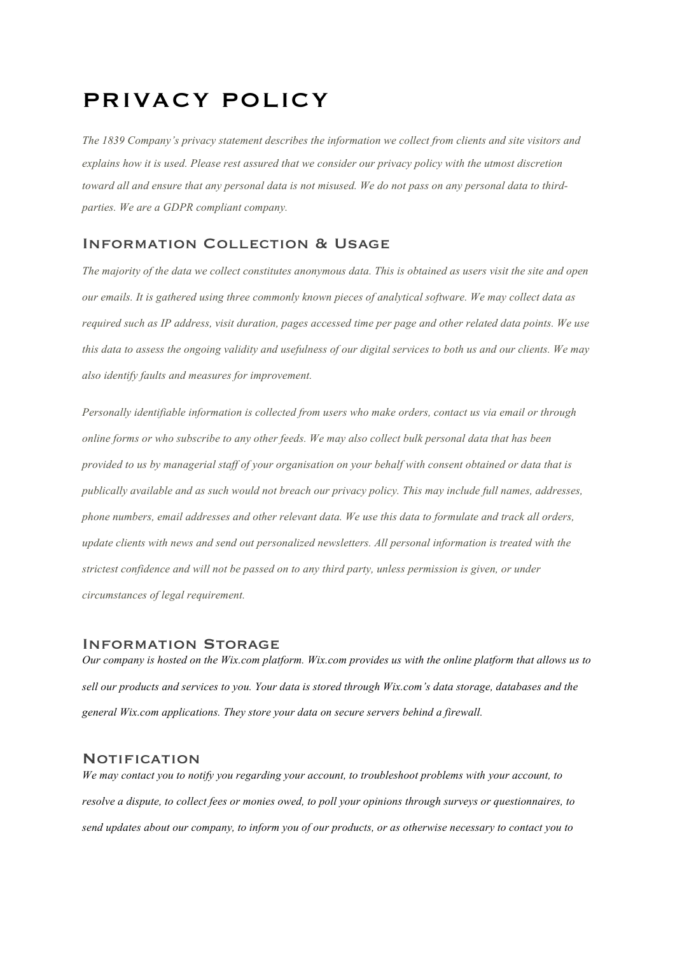# PRIVACY POLICY

*The 1839 Company's privacy statement describes the information we collect from clients and site visitors and explains how it is used. Please rest assured that we consider our privacy policy with the utmost discretion toward all and ensure that any personal data is not misused. We do not pass on any personal data to thirdparties. We are a GDPR compliant company.*

## Information Collection & Usage

*The majority of the data we collect constitutes anonymous data. This is obtained as users visit the site and open our emails. It is gathered using three commonly known pieces of analytical software. We may collect data as required such as IP address, visit duration, pages accessed time per page and other related data points. We use this data to assess the ongoing validity and usefulness of our digital services to both us and our clients. We may also identify faults and measures for improvement.*

*Personally identifiable information is collected from users who make orders, contact us via email or through online forms or who subscribe to any other feeds. We may also collect bulk personal data that has been provided to us by managerial staff of your organisation on your behalf with consent obtained or data that is publically available and as such would not breach our privacy policy. This may include full names, addresses, phone numbers, email addresses and other relevant data. We use this data to formulate and track all orders, update clients with news and send out personalized newsletters. All personal information is treated with the strictest confidence and will not be passed on to any third party, unless permission is given, or under circumstances of legal requirement.* 

#### Information Storage

*Our company is hosted on the Wix.com platform. Wix.com provides us with the online platform that allows us to sell our products and services to you. Your data is stored through Wix.com's data storage, databases and the general Wix.com applications. They store your data on secure servers behind a firewall.*

#### **NOTIFICATION**

*We may contact you to notify you regarding your account, to troubleshoot problems with your account, to resolve a dispute, to collect fees or monies owed, to poll your opinions through surveys or questionnaires, to send updates about our company, to inform you of our products, or as otherwise necessary to contact you to*